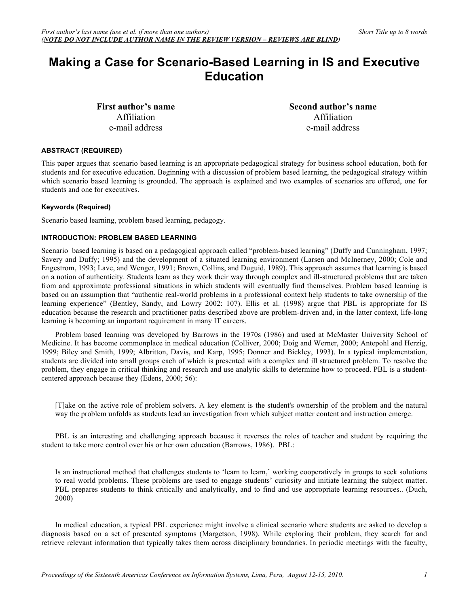# **Making a Case for Scenario-Based Learning in IS and Executive Education**

**First author's name** Affiliation e-mail address

**Second author's name** Affiliation e-mail address

# **ABSTRACT (REQUIRED)**

This paper argues that scenario based learning is an appropriate pedagogical strategy for business school education, both for students and for executive education. Beginning with a discussion of problem based learning, the pedagogical strategy within which scenario based learning is grounded. The approach is explained and two examples of scenarios are offered, one for students and one for executives.

# **Keywords (Required)**

Scenario based learning, problem based learning, pedagogy.

# **INTRODUCTION: PROBLEM BASED LEARNING**

Scenario–based learning is based on a pedagogical approach called "problem-based learning" (Duffy and Cunningham, 1997; Savery and Duffy; 1995) and the development of a situated learning environment (Larsen and McInerney, 2000; Cole and Engestrom, 1993; Lave, and Wenger, 1991; Brown, Collins, and Duguid, 1989). This approach assumes that learning is based on a notion of authenticity. Students learn as they work their way through complex and ill-structured problems that are taken from and approximate professional situations in which students will eventually find themselves. Problem based learning is based on an assumption that "authentic real-world problems in a professional context help students to take ownership of the learning experience" (Bentley, Sandy, and Lowry 2002: 107). Ellis et al. (1998) argue that PBL is appropriate for IS education because the research and practitioner paths described above are problem-driven and, in the latter context, life-long learning is becoming an important requirement in many IT careers.

Problem based learning was developed by Barrows in the 1970s (1986) and used at McMaster University School of Medicine. It has become commonplace in medical education (Colliver, 2000; Doig and Werner, 2000; Antepohl and Herzig, 1999; Biley and Smith, 1999; Albritton, Davis, and Karp, 1995; Donner and Bickley, 1993). In a typical implementation, students are divided into small groups each of which is presented with a complex and ill structured problem. To resolve the problem, they engage in critical thinking and research and use analytic skills to determine how to proceed. PBL is a studentcentered approach because they (Edens, 2000; 56):

[T]ake on the active role of problem solvers. A key element is the student's ownership of the problem and the natural way the problem unfolds as students lead an investigation from which subject matter content and instruction emerge.

PBL is an interesting and challenging approach because it reverses the roles of teacher and student by requiring the student to take more control over his or her own education (Barrows, 1986). PBL:

Is an instructional method that challenges students to 'learn to learn,' working cooperatively in groups to seek solutions to real world problems. These problems are used to engage students' curiosity and initiate learning the subject matter. PBL prepares students to think critically and analytically, and to find and use appropriate learning resources.. (Duch, 2000)

In medical education, a typical PBL experience might involve a clinical scenario where students are asked to develop a diagnosis based on a set of presented symptoms (Margetson, 1998). While exploring their problem, they search for and retrieve relevant information that typically takes them across disciplinary boundaries. In periodic meetings with the faculty,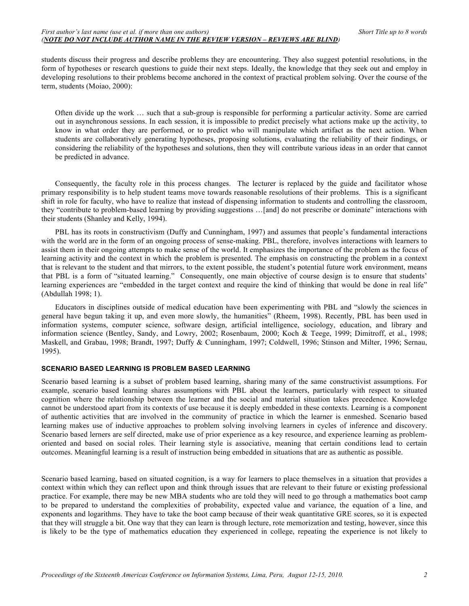students discuss their progress and describe problems they are encountering. They also suggest potential resolutions, in the form of hypotheses or research questions to guide their next steps. Ideally, the knowledge that they seek out and employ in developing resolutions to their problems become anchored in the context of practical problem solving. Over the course of the term, students (Moiao, 2000):

Often divide up the work … such that a sub-group is responsible for performing a particular activity. Some are carried out in asynchronous sessions. In each session, it is impossible to predict precisely what actions make up the activity, to know in what order they are performed, or to predict who will manipulate which artifact as the next action. When students are collaboratively generating hypotheses, proposing solutions, evaluating the reliability of their findings, or considering the reliability of the hypotheses and solutions, then they will contribute various ideas in an order that cannot be predicted in advance.

Consequently, the faculty role in this process changes. The lecturer is replaced by the guide and facilitator whose primary responsibility is to help student teams move towards reasonable resolutions of their problems. This is a significant shift in role for faculty, who have to realize that instead of dispensing information to students and controlling the classroom, they "contribute to problem-based learning by providing suggestions …[and] do not prescribe or dominate" interactions with their students (Shanley and Kelly, 1994).

PBL has its roots in constructivism (Duffy and Cunningham, 1997) and assumes that people's fundamental interactions with the world are in the form of an ongoing process of sense-making. PBL, therefore, involves interactions with learners to assist them in their ongoing attempts to make sense of the world. It emphasizes the importance of the problem as the focus of learning activity and the context in which the problem is presented. The emphasis on constructing the problem in a context that is relevant to the student and that mirrors, to the extent possible, the student's potential future work environment, means that PBL is a form of "situated learning." Consequently, one main objective of course design is to ensure that students' learning experiences are "embedded in the target context and require the kind of thinking that would be done in real life" (Abdullah 1998; 1).

Educators in disciplines outside of medical education have been experimenting with PBL and "slowly the sciences in general have begun taking it up, and even more slowly, the humanities" (Rheem, 1998). Recently, PBL has been used in information systems, computer science, software design, artificial intelligence, sociology, education, and library and information science (Bentley, Sandy, and Lowry, 2002; Rosenbaum, 2000; Koch & Teege, 1999; Dimitroff, et al., 1998; Maskell, and Grabau, 1998; Brandt, 1997; Duffy & Cunningham, 1997; Coldwell, 1996; Stinson and Milter, 1996; Sernau, 1995).

# **SCENARIO BASED LEARNING IS PROBLEM BASED LEARNING**

Scenario based learning is a subset of problem based learning, sharing many of the same constructivist assumptions. For example, scenario based learning shares assumptions with PBL about the learners, particularly with respect to situated cognition where the relationship between the learner and the social and material situation takes precedence. Knowledge cannot be understood apart from its contexts of use because it is deeply embedded in these contexts. Learning is a component of authentic activities that are involved in the community of practice in which the learner is enmeshed. Scenario based learning makes use of inductive approaches to problem solving involving learners in cycles of inference and discovery. Scenario based lerners are self directed, make use of prior experience as a key resource, and experience learning as problemoriented and based on social roles. Their learning style is associative, meaning that certain conditions lead to certain outcomes. Meaningful learning is a result of instruction being embedded in situations that are as authentic as possible.

Scenario based learning, based on situated cognition, is a way for learners to place themselves in a situation that provides a context within which they can reflect upon and think through issues that are relevant to their future or existing professional practice. For example, there may be new MBA students who are told they will need to go through a mathematics boot camp to be prepared to understand the complexities of probability, expected value and variance, the equation of a line, and exponents and logarithms. They have to take the boot camp because of their weak quantitative GRE scores, so it is expected that they will struggle a bit. One way that they can learn is through lecture, rote memorization and testing, however, since this is likely to be the type of mathematics education they experienced in college, repeating the experience is not likely to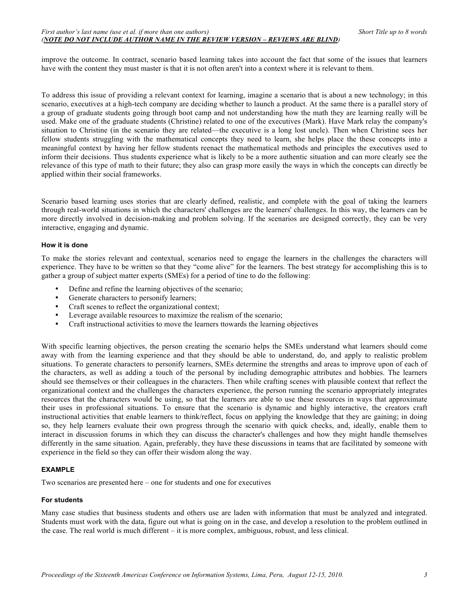improve the outcome. In contract, scenario based learning takes into account the fact that some of the issues that learners have with the content they must master is that it is not often aren't into a context where it is relevant to them.

To address this issue of providing a relevant context for learning, imagine a scenario that is about a new technology; in this scenario, executives at a high-tech company are deciding whether to launch a product. At the same there is a parallel story of a group of graduate students going through boot camp and not understanding how the math they are learning really will be used. Make one of the graduate students (Christine) related to one of the executives (Mark). Have Mark relay the company's situation to Christine (in the scenario they are related—the executive is a long lost uncle). Then when Christine sees her fellow students struggling with the mathematical concepts they need to learn, she helps place the these concepts into a meaningful context by having her fellow students reenact the mathematical methods and principles the executives used to inform their decisions. Thus students experience what is likely to be a more authentic situation and can more clearly see the relevance of this type of math to their future; they also can grasp more easily the ways in which the concepts can directly be applied within their social frameworks.

Scenario based learning uses stories that are clearly defined, realistic, and complete with the goal of taking the learners through real-world situations in which the characters' challenges are the learners' challenges. In this way, the learners can be more directly involved in decision-making and problem solving. If the scenarios are designed correctly, they can be very interactive, engaging and dynamic.

# **How it is done**

To make the stories relevant and contextual, scenarios need to engage the learners in the challenges the characters will experience. They have to be written so that they "come alive" for the learners. The best strategy for accomplishing this is to gather a group of subject matter experts (SMEs) for a period of tine to do the following:

- Define and refine the learning objectives of the scenario;
- Generate characters to personify learners;<br>• Craft scenes to reflect the organizational c
- Craft scenes to reflect the organizational context;
- Leverage available resources to maximize the realism of the scenario;
- Craft instructional activities to move the learners ttowards the learning objectives

With specific learning objectives, the person creating the scenario helps the SMEs understand what learners should come away with from the learning experience and that they should be able to understand, do, and apply to realistic problem situations. To generate characters to personify learners, SMEs determine the strengths and areas to improve upon of each of the characters, as well as adding a touch of the personal by including demographic attributes and hobbies. The learners should see themselves or their colleagues in the characters. Then while crafting scenes with plausible context that reflect the organizational context and the challenges the characters experience, the person running the scenario appropriately integrates resources that the characters would be using, so that the learners are able to use these resources in ways that approximate their uses in professional situations. To ensure that the scenario is dynamic and highly interactive, the creators craft instructional activities that enable learners to think/reflect, focus on applying the knowledge that they are gaining; in doing so, they help learners evaluate their own progress through the scenario with quick checks, and, ideally, enable them to interact in discussion forums in which they can discuss the character's challenges and how they might handle themselves differently in the same situation. Again, preferably, they have these discussions in teams that are facilitated by someone with experience in the field so they can offer their wisdom along the way.

# **EXAMPLE**

Two scenarios are presented here – one for students and one for executives

### **For students**

Many case studies that business students and others use are laden with information that must be analyzed and integrated. Students must work with the data, figure out what is going on in the case, and develop a resolution to the problem outlined in the case. The real world is much different – it is more complex, ambiguous, robust, and less clinical.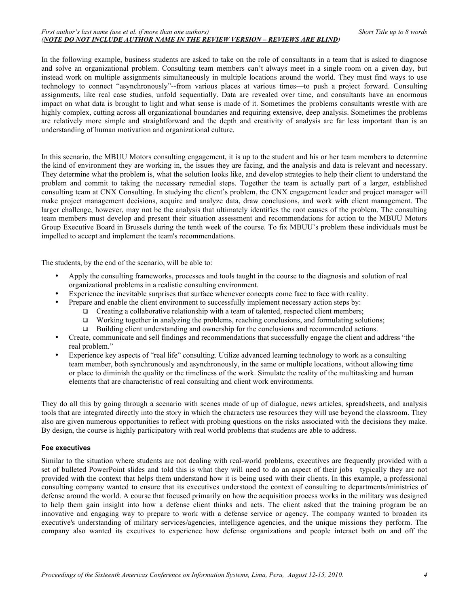In the following example, business students are asked to take on the role of consultants in a team that is asked to diagnose and solve an organizational problem. Consulting team members can't always meet in a single room on a given day, but instead work on multiple assignments simultaneously in multiple locations around the world. They must find ways to use technology to connect "asynchronously"--from various places at various times—to push a project forward. Consulting assignments, like real case studies, unfold sequentially. Data are revealed over time, and consultants have an enormous impact on what data is brought to light and what sense is made of it. Sometimes the problems consultants wrestle with are highly complex, cutting across all organizational boundaries and requiring extensive, deep analysis. Sometimes the problems are relatively more simple and straightforward and the depth and creativity of analysis are far less important than is an understanding of human motivation and organizational culture.

In this scenario, the MBUU Motors consulting engagement, it is up to the student and his or her team members to determine the kind of environment they are working in, the issues they are facing, and the analysis and data is relevant and necessary. They determine what the problem is, what the solution looks like, and develop strategies to help their client to understand the problem and commit to taking the necessary remedial steps. Together the team is actually part of a larger, established consulting team at CNX Consulting. In studying the client's problem, the CNX engagement leader and project manager will make project management decisions, acquire and analyze data, draw conclusions, and work with client management. The larger challenge, however, may not be the analysis that ultimately identifies the root causes of the problem. The consulting team members must develop and present their situation assessment and recommendations for action to the MBUU Motors Group Executive Board in Brussels during the tenth week of the course. To fix MBUU's problem these individuals must be impelled to accept and implement the team's recommendations.

The students, by the end of the scenario, will be able to:

- Apply the consulting frameworks, processes and tools taught in the course to the diagnosis and solution of real organizational problems in a realistic consulting environment.
- Experience the inevitable surprises that surface whenever concepts come face to face with reality.
- Prepare and enable the client environment to successfully implement necessary action steps by:
	- $\Box$  Creating a collaborative relationship with a team of talented, respected client members;
		- $\Box$  Working together in analyzing the problems, reaching conclusions, and formulating solutions;
		- Building client understanding and ownership for the conclusions and recommended actions.
- Create, communicate and sell findings and recommendations that successfully engage the client and address "the real problem."
- Experience key aspects of "real life" consulting. Utilize advanced learning technology to work as a consulting team member, both synchronously and asynchronously, in the same or multiple locations, without allowing time or place to diminish the quality or the timeliness of the work. Simulate the reality of the multitasking and human elements that are characteristic of real consulting and client work environments.

They do all this by going through a scenario with scenes made of up of dialogue, news articles, spreadsheets, and analysis tools that are integrated directly into the story in which the characters use resources they will use beyond the classroom. They also are given numerous opportunities to reflect with probing questions on the risks associated with the decisions they make. By design, the course is highly participatory with real world problems that students are able to address.

### **Foe executives**

Similar to the situation where students are not dealing with real-world problems, executives are frequently provided with a set of bulleted PowerPoint slides and told this is what they will need to do an aspect of their jobs—typically they are not provided with the context that helps them understand how it is being used with their clients. In this example, a professional consulting company wanted to ensure that its executives understood the context of consulting to departments/ministries of defense around the world. A course that focused primarily on how the acquisition process works in the military was designed to help them gain insight into how a defense client thinks and acts. The client asked that the training program be an innovative and engaging way to prepare to work with a defense service or agency. The company wanted to broaden its executive's understanding of military services/agencies, intelligence agencies, and the unique missions they perform. The company also wanted its exeutives to experience how defense organizations and people interact both on and off the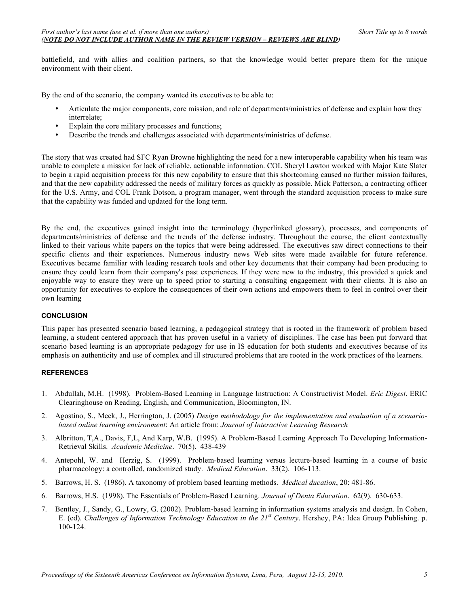battlefield, and with allies and coalition partners, so that the knowledge would better prepare them for the unique environment with their client.

By the end of the scenario, the company wanted its executives to be able to:

- Articulate the major components, core mission, and role of departments/ministries of defense and explain how they interrelate;
- Explain the core military processes and functions;
- Describe the trends and challenges associated with departments/ministries of defense.

The story that was created had SFC Ryan Browne highlighting the need for a new interoperable capability when his team was unable to complete a mission for lack of reliable, actionable information. COL Sheryl Lawton worked with Major Kate Slater to begin a rapid acquisition process for this new capability to ensure that this shortcoming caused no further mission failures, and that the new capability addressed the needs of military forces as quickly as possible. Mick Patterson, a contracting officer for the U.S. Army, and COL Frank Dotson, a program manager, went through the standard acquisition process to make sure that the capability was funded and updated for the long term.

By the end, the executives gained insight into the terminology (hyperlinked glossary), processes, and components of departments/ministries of defense and the trends of the defense industry. Throughout the course, the client contextually linked to their various white papers on the topics that were being addressed. The executives saw direct connections to their specific clients and their experiences. Numerous industry news Web sites were made available for future reference. Executives became familiar with leading research tools and other key documents that their company had been producing to ensure they could learn from their company's past experiences. If they were new to the industry, this provided a quick and enjoyable way to ensure they were up to speed prior to starting a consulting engagement with their clients. It is also an opportunity for executives to explore the consequences of their own actions and empowers them to feel in control over their own learning

### **CONCLUSION**

This paper has presented scenario based learning, a pedagogical strategy that is rooted in the framework of problem based learning, a student centered approach that has proven useful in a variety of disciplines. The case has been put forward that scenario based learning is an appropriate pedagogy for use in IS education for both students and executives because of its emphasis on authenticity and use of complex and ill structured problems that are rooted in the work practices of the learners.

## **REFERENCES**

- 1. Abdullah, M.H. (1998). Problem-Based Learning in Language Instruction: A Constructivist Model. *Eric Digest*. ERIC Clearinghouse on Reading, English, and Communication, Bloomington, IN.
- 2. Agostino, S., Meek, J., Herrington, J. (2005) *Design methodology for the implementation and evaluation of a scenariobased online learning environment*: An article from: *Journal of Interactive Learning Research*
- 3. Albritton, T,A., Davis, F,L, And Karp, W.B. (1995). A Problem-Based Learning Approach To Developing Information-Retrieval Skills. *Academic Medicine*. 70(5). 438-439
- 4. Antepohl, W. and Herzig, S. (1999). Problem-based learning versus lecture-based learning in a course of basic pharmacology: a controlled, randomized study. *Medical Education*. 33(2). 106-113.
- 5. Barrows, H. S. (1986). A taxonomy of problem based learning methods. *Medical ducation*, 20: 481-86.
- 6. Barrows, H.S. (1998). The Essentials of Problem-Based Learning. *Journal of Denta Education*. 62(9). 630-633.
- 7. Bentley, J., Sandy, G., Lowry, G. (2002). Problem-based learning in information systems analysis and design. In Cohen, E. (ed). *Challenges of Information Technology Education in the 21st Century*. Hershey, PA: Idea Group Publishing. p. 100-124.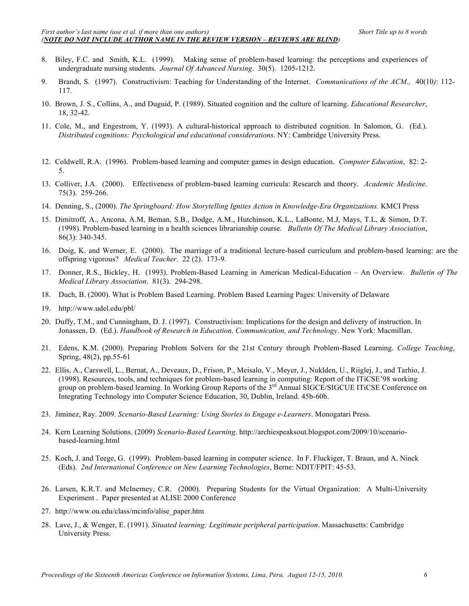- 8. Biley, F.C. and Smith, K.L. (1999). Making sense of problem-based learning: the perceptions and experiences of undergraduate nursing students. *Journal Of Advanced Nursing*. 30(5). 1205-1212.
- 9. Brandt, S. (1997). Constructivism: Teaching for Understanding of the Internet. *Communications of the ACM.,* 40(10*)*: 112- 117.
- 10. Brown, J. S., Collins, A., and Duguid, P. (1989). Situated cognition and the culture of learning. *Educational Researcher*, 18, 32-42.
- 11. Cole, M., and Engestrom, Y. (1993). A cultural-historical approach to distributed cognition. In Salomon, G. (Ed.). *Distributed cognitions: Psychological and educational considerations*. NY: Cambridge University Press.
- 12. Coldwell, R.A. (1996). Problem-based learning and computer games in design education. *Computer Education*, 82: 2- 5.
- 13. Colliver, J.A. (2000). Effectiveness of problem-based learning curricula: Research and theory. *Academic Medicine*. 75(3). 259-266.
- 14. Denning, S., (2000). *The Springboard: How Storytelling Ignites Action in Knowledge-Era Organizations.* KMCI Press
- 15. Dimitroff, A., Ancona, A.M, Beman, S.B., Dodge, A.M., Hutchinson, K.L., LaBonte, M.J, Mays, T.L, & Simon, D.T. (1998). Problem-based learning in a health sciences librarianship course. *Bulletin Of The Medical Library Association*, 86(3): 340-345.
- 16. Doig, K. and Werner, E. (2000). The marriage of a traditional lecture-based curriculum and problem-based learning: are the offspring vigorous? *Medical Teacher*. 22 (2). 173-9.
- 17. Donner, R.S., Bickley, H. (1993). Problem-Based Learning in American Medical-Education An Overview. *Bulletin of The Medical Library Association*. 81(3). 294-298.
- 18. Duch, B. (2000). What is Problem Based Learning. Problem Based Learning Pages: University of Delaware
- 19. http://www.udel.edu/pbl/
- 20. Duffy, T.M., and Cunningham, D. J. (1997). Constructivism: Implications for the design and delivery of instruction. In Jonassen, D. (Ed.). *Handbook of Research in Education, Communication, and Technology*. New York: Macmillan.
- 21. Edens, K.M. (2000). Preparing Problem Solvers for the 21st Century through Problem-Based Learning. *College Teaching*, Spring, 48(2), pp.55-61
- 22. Ellis, A., Carswell, L., Bernat, A., Deveaux, D., Frison, P., Meisalo, V., Meyer, J., Nuklden, U., Riiglej, J., and Tarhio, J. (1998). Resources, tools, and techniques for problem-based learning in computing: Report of the ITiCSE'98 working group on problem-based learning. In Working Group Reports of the 3<sup>rd</sup> Annual SIGCE/SIGCUE ITiCSE Conference on Integrating Technology into Computer Science Education, 30, Dublin, Ireland. 45b-60b.
- 23. Jiminez, Ray. 2009. *Scenario-Based Learning: Using Stories to Engage e-Learners*. Monogatari Press.
- 24. Kern Learning Solutions. (2009) *Scenario-Based Learning*. http://archiespeaksout.blogspot.com/2009/10/scenariobased-learning.html
- 25. Koch, J. and Teege, G. (1999). Problem-based learning in computer science. In F. Fluckiger, T. Braun, and A. Ninck (Eds). *2nd International Conference on New Learning Technologies*, Berne: NDIT/FPIT: 45-53.
- 26. Larsen, K.R.T. and McInerney, C.R. (2000). Preparing Students for the Virtual Organization: A Multi-University Experiment . Paper presented at ALISE 2000 Conference
- 27. http://www.ou.edu/class/mcinfo/alise\_paper.htm
- 28. Lave, J., & Wenger, E. (1991). *Situated learning: Legitimate peripheral participation*. Massachusetts: Cambridge University Press.